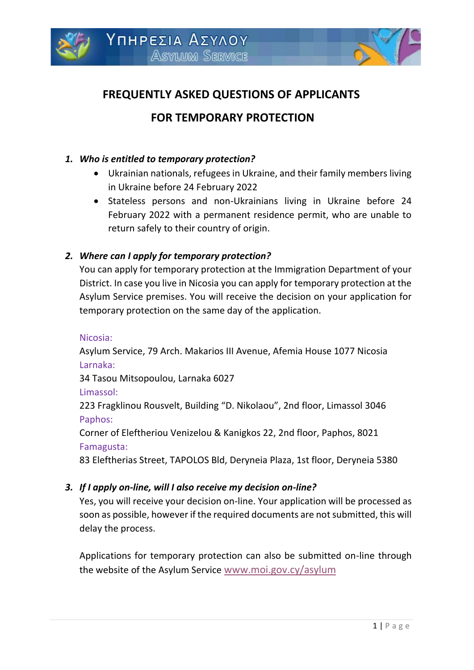

# **FOR TEMPORARY PROTECTION**

# *1. Who is entitled to temporary protection?*

- Ukrainian nationals, refugees in Ukraine, and their family members living in Ukraine before 24 February 2022
- Stateless persons and non-Ukrainians living in Ukraine before 24 February 2022 with a permanent residence permit, who are unable to return safely to their country of origin.

# *2. Where can I apply for temporary protection?*

You can apply for temporary protection at the Immigration Department of your District. In case you live in Nicosia you can apply for temporary protection at the Asylum Service premises. You will receive the decision on your application for temporary protection on the same day of the application.

Nicosia:

Asylum Service, 79 Arch. Makarios III Avenue, Afemia House 1077 Nicosia Larnaka:

34 Tasou Mitsopoulou, Larnaka 6027

Limassol:

223 Fragklinou Rousvelt, Building "D. Nikolaou", 2nd floor, Limassol 3046 Paphos:

Corner of Eleftheriou Venizelou & Kanigkos 22, 2nd floor, Paphos, 8021 Famagusta:

83 Eleftherias Street, TAPOLOS Bld, Deryneia Plaza, 1st floor, Deryneia 5380

# *3. If I apply on-line, will I also receive my decision on-line?*

Yes, you will receive your decision on-line. Your application will be processed as soon as possible, however if the required documents are not submitted, this will delay the process.

Applications for temporary protection can also be submitted on-line through the website of the Asylum Service [www.moi.gov.cy/asylum](http://www.moi.gov.cy/asylum)